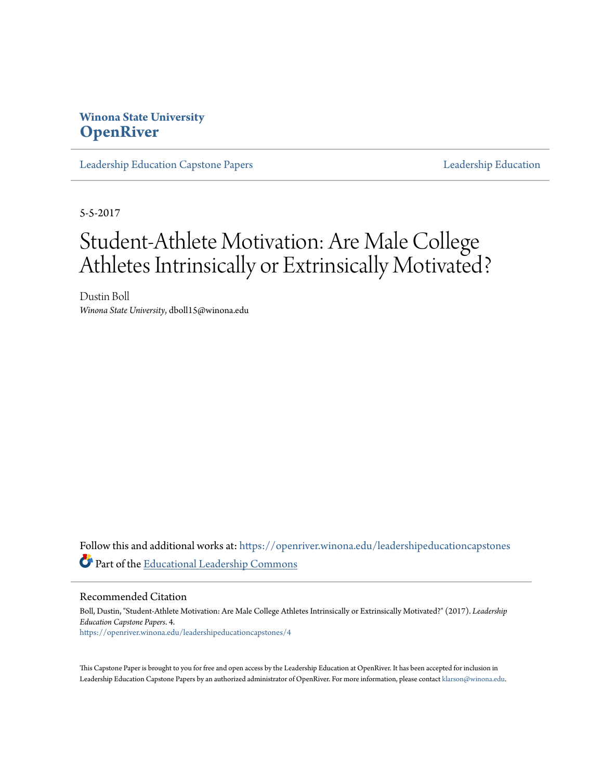### **Winona State University [OpenRiver](https://openriver.winona.edu?utm_source=openriver.winona.edu%2Fleadershipeducationcapstones%2F4&utm_medium=PDF&utm_campaign=PDFCoverPages)**

[Leadership Education Capstone Papers](https://openriver.winona.edu/leadershipeducationcapstones?utm_source=openriver.winona.edu%2Fleadershipeducationcapstones%2F4&utm_medium=PDF&utm_campaign=PDFCoverPages) [Leadership Education](https://openriver.winona.edu/leadershipeducation?utm_source=openriver.winona.edu%2Fleadershipeducationcapstones%2F4&utm_medium=PDF&utm_campaign=PDFCoverPages)

5-5-2017

# Student-Athlete Motivation: Are Male College Athletes Intrinsically or Extrinsically Motivated?

Dustin Boll *Winona State University*, dboll15@winona.edu

Follow this and additional works at: [https://openriver.winona.edu/leadershipeducationcapstones](https://openriver.winona.edu/leadershipeducationcapstones?utm_source=openriver.winona.edu%2Fleadershipeducationcapstones%2F4&utm_medium=PDF&utm_campaign=PDFCoverPages) Part of the [Educational Leadership Commons](http://network.bepress.com/hgg/discipline/1230?utm_source=openriver.winona.edu%2Fleadershipeducationcapstones%2F4&utm_medium=PDF&utm_campaign=PDFCoverPages)

Recommended Citation

Boll, Dustin, "Student-Athlete Motivation: Are Male College Athletes Intrinsically or Extrinsically Motivated?" (2017). *Leadership Education Capstone Papers*. 4. [https://openriver.winona.edu/leadershipeducationcapstones/4](https://openriver.winona.edu/leadershipeducationcapstones/4?utm_source=openriver.winona.edu%2Fleadershipeducationcapstones%2F4&utm_medium=PDF&utm_campaign=PDFCoverPages)

This Capstone Paper is brought to you for free and open access by the Leadership Education at OpenRiver. It has been accepted for inclusion in Leadership Education Capstone Papers by an authorized administrator of OpenRiver. For more information, please contact [klarson@winona.edu.](mailto:klarson@winona.edu)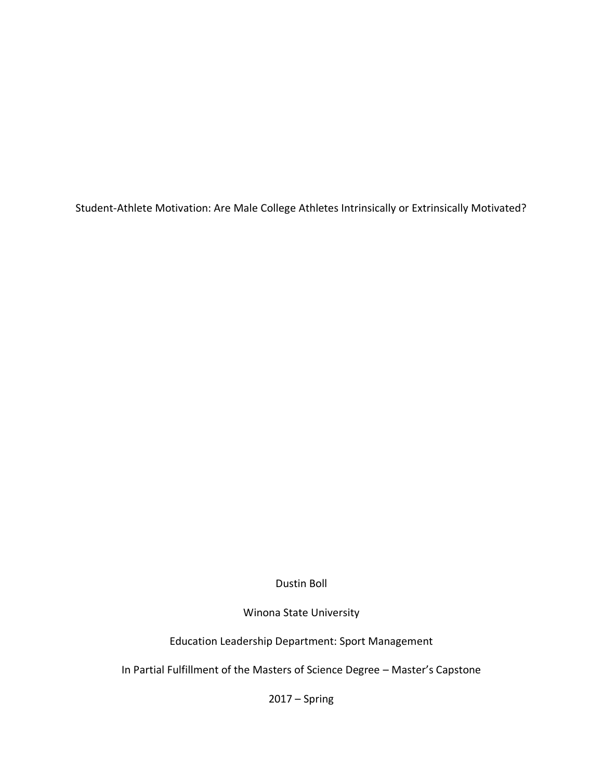Student-Athlete Motivation: Are Male College Athletes Intrinsically or Extrinsically Motivated?

Dustin Boll

Winona State University

Education Leadership Department: Sport Management

In Partial Fulfillment of the Masters of Science Degree – Master's Capstone

2017 – Spring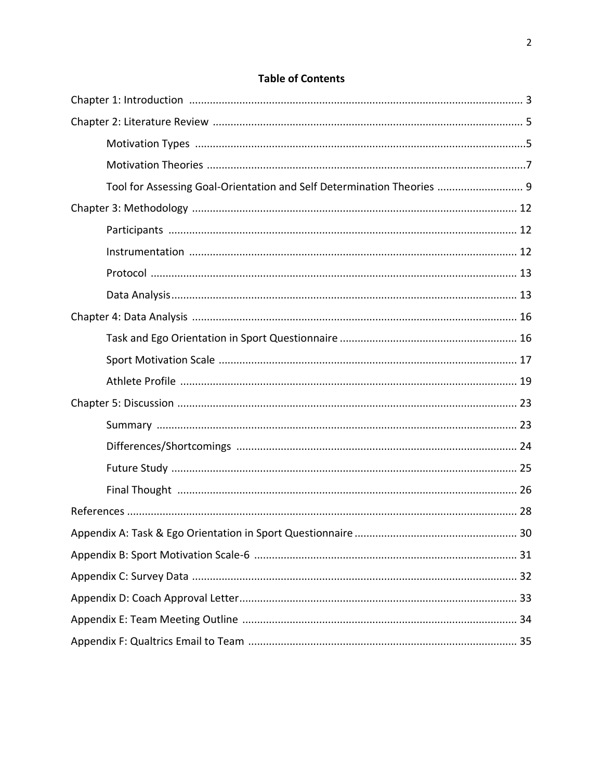| Tool for Assessing Goal-Orientation and Self Determination Theories  9 |    |
|------------------------------------------------------------------------|----|
|                                                                        |    |
|                                                                        |    |
|                                                                        |    |
|                                                                        |    |
|                                                                        |    |
|                                                                        |    |
|                                                                        |    |
|                                                                        |    |
|                                                                        |    |
|                                                                        |    |
|                                                                        |    |
|                                                                        |    |
|                                                                        |    |
|                                                                        |    |
|                                                                        |    |
|                                                                        | 30 |
|                                                                        |    |
|                                                                        |    |
|                                                                        |    |
|                                                                        |    |
|                                                                        |    |

### **Table of Contents**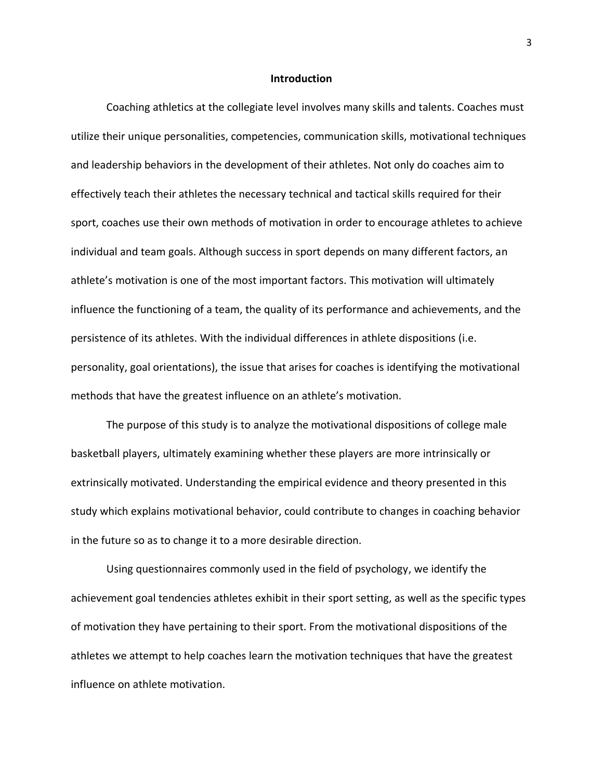#### **Introduction**

Coaching athletics at the collegiate level involves many skills and talents. Coaches must utilize their unique personalities, competencies, communication skills, motivational techniques and leadership behaviors in the development of their athletes. Not only do coaches aim to effectively teach their athletes the necessary technical and tactical skills required for their sport, coaches use their own methods of motivation in order to encourage athletes to achieve individual and team goals. Although success in sport depends on many different factors, an athlete's motivation is one of the most important factors. This motivation will ultimately influence the functioning of a team, the quality of its performance and achievements, and the persistence of its athletes. With the individual differences in athlete dispositions (i.e. personality, goal orientations), the issue that arises for coaches is identifying the motivational methods that have the greatest influence on an athlete's motivation.

The purpose of this study is to analyze the motivational dispositions of college male basketball players, ultimately examining whether these players are more intrinsically or extrinsically motivated. Understanding the empirical evidence and theory presented in this study which explains motivational behavior, could contribute to changes in coaching behavior in the future so as to change it to a more desirable direction.

Using questionnaires commonly used in the field of psychology, we identify the achievement goal tendencies athletes exhibit in their sport setting, as well as the specific types of motivation they have pertaining to their sport. From the motivational dispositions of the athletes we attempt to help coaches learn the motivation techniques that have the greatest influence on athlete motivation.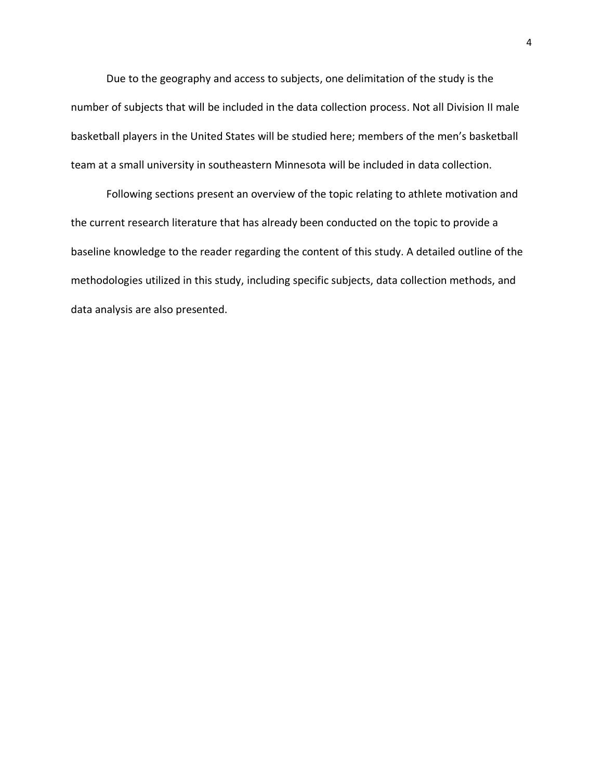Due to the geography and access to subjects, one delimitation of the study is the number of subjects that will be included in the data collection process. Not all Division II male basketball players in the United States will be studied here; members of the men's basketball team at a small university in southeastern Minnesota will be included in data collection.

Following sections present an overview of the topic relating to athlete motivation and the current research literature that has already been conducted on the topic to provide a baseline knowledge to the reader regarding the content of this study. A detailed outline of the methodologies utilized in this study, including specific subjects, data collection methods, and data analysis are also presented.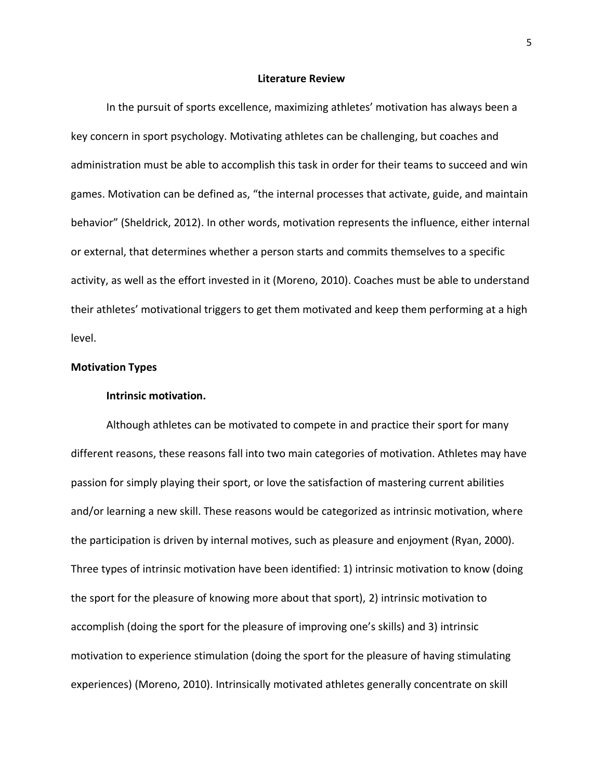#### **Literature Review**

In the pursuit of sports excellence, maximizing athletes' motivation has always been a key concern in sport psychology. Motivating athletes can be challenging, but coaches and administration must be able to accomplish this task in order for their teams to succeed and win games. Motivation can be defined as, "the internal processes that activate, guide, and maintain behavior" (Sheldrick, 2012). In other words, motivation represents the influence, either internal or external, that determines whether a person starts and commits themselves to a specific activity, as well as the effort invested in it (Moreno, 2010). Coaches must be able to understand their athletes' motivational triggers to get them motivated and keep them performing at a high level.

#### **Motivation Types**

#### **Intrinsic motivation.**

Although athletes can be motivated to compete in and practice their sport for many different reasons, these reasons fall into two main categories of motivation. Athletes may have passion for simply playing their sport, or love the satisfaction of mastering current abilities and/or learning a new skill. These reasons would be categorized as intrinsic motivation, where the participation is driven by internal motives, such as pleasure and enjoyment (Ryan, 2000). Three types of intrinsic motivation have been identified: 1) intrinsic motivation to know (doing the sport for the pleasure of knowing more about that sport), 2) intrinsic motivation to accomplish (doing the sport for the pleasure of improving one's skills) and 3) intrinsic motivation to experience stimulation (doing the sport for the pleasure of having stimulating experiences) (Moreno, 2010). Intrinsically motivated athletes generally concentrate on skill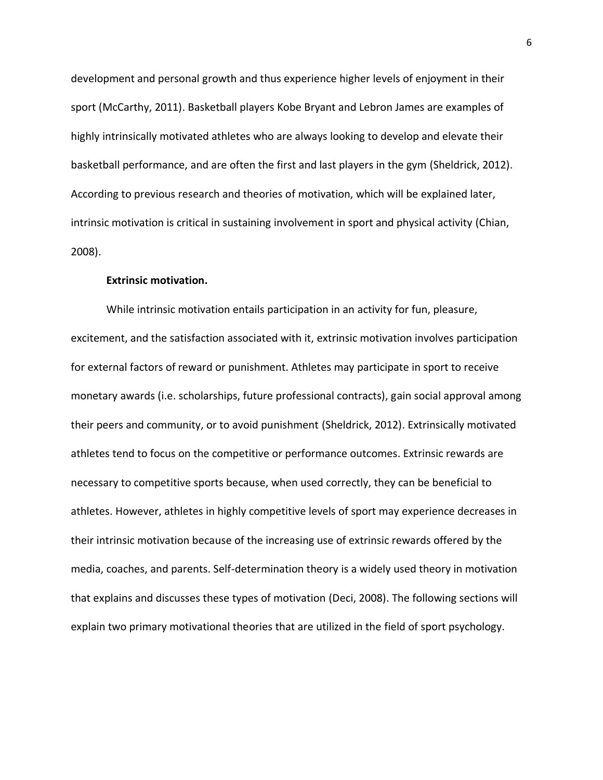development and personal growth and thus experience higher levels of enjoyment in their sport (McCarthy, 2011). Basketball players Kobe Bryant and Lebron James are examples of highly intrinsically motivated athletes who are always looking to develop and elevate their basketball performance, and are often the first and last players in the gym (Sheldrick, 2012). According to previous research and theories of motivation, which will be explained later, intrinsic motivation is critical in sustaining involvement in sport and physical activity (Chian, 2008).

#### **Extrinsic motivation.**

While intrinsic motivation entails participation in an activity for fun, pleasure, excitement, and the satisfaction associated with it, extrinsic motivation involves participation for external factors of reward or punishment. Athletes may participate in sport to receive monetary awards (i.e. scholarships, future professional contracts), gain social approval among their peers and community, or to avoid punishment (Sheldrick, 2012). Extrinsically motivated athletes tend to focus on the competitive or performance outcomes. Extrinsic rewards are necessary to competitive sports because, when used correctly, they can be beneficial to athletes. However, athletes in highly competitive levels of sport may experience decreases in their intrinsic motivation because of the increasing use of extrinsic rewards offered by the media, coaches, and parents. Self-determination theory is a widely used theory in motivation that explains and discusses these types of motivation (Deci, 2008). The following sections will explain two primary motivational theories that are utilized in the field of sport psychology.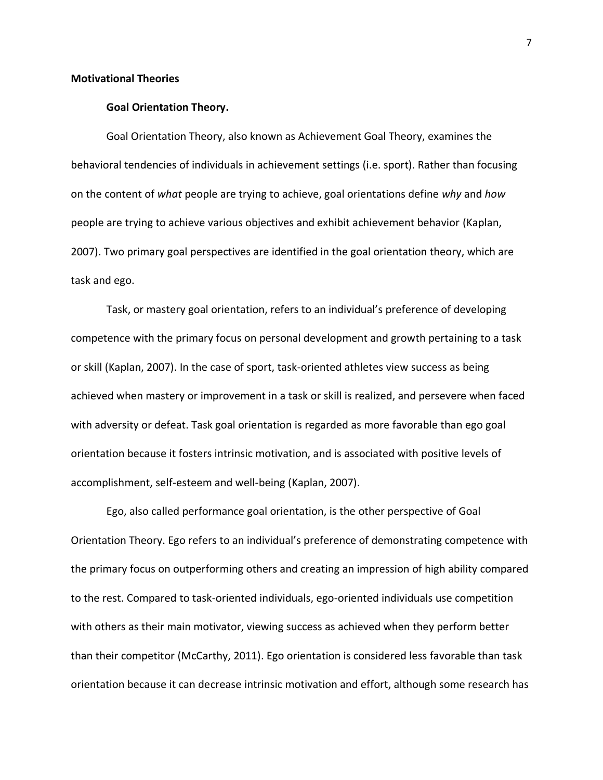#### **Motivational Theories**

#### **Goal Orientation Theory.**

Goal Orientation Theory, also known as Achievement Goal Theory, examines the behavioral tendencies of individuals in achievement settings (i.e. sport). Rather than focusing on the content of *what* people are trying to achieve, goal orientations define *why* and *how* people are trying to achieve various objectives and exhibit achievement behavior (Kaplan, 2007). Two primary goal perspectives are identified in the goal orientation theory, which are task and ego.

Task, or mastery goal orientation, refers to an individual's preference of developing competence with the primary focus on personal development and growth pertaining to a task or skill (Kaplan, 2007). In the case of sport, task-oriented athletes view success as being achieved when mastery or improvement in a task or skill is realized, and persevere when faced with adversity or defeat. Task goal orientation is regarded as more favorable than ego goal orientation because it fosters intrinsic motivation, and is associated with positive levels of accomplishment, self-esteem and well-being (Kaplan, 2007).

Ego, also called performance goal orientation, is the other perspective of Goal Orientation Theory. Ego refers to an individual's preference of demonstrating competence with the primary focus on outperforming others and creating an impression of high ability compared to the rest. Compared to task-oriented individuals, ego-oriented individuals use competition with others as their main motivator, viewing success as achieved when they perform better than their competitor (McCarthy, 2011). Ego orientation is considered less favorable than task orientation because it can decrease intrinsic motivation and effort, although some research has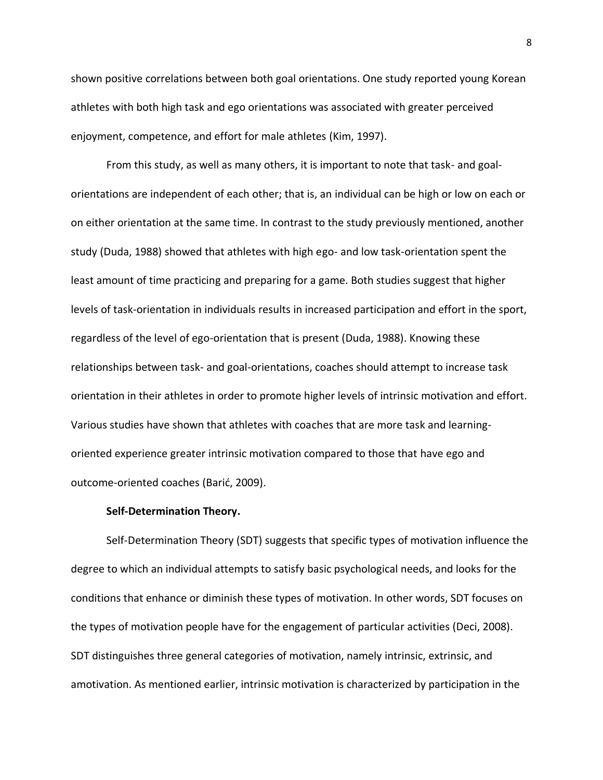shown positive correlations between both goal orientations. One study reported young Korean athletes with both high task and ego orientations was associated with greater perceived enjoyment, competence, and effort for male athletes (Kim, 1997).

From this study, as well as many others, it is important to note that task- and goalorientations are independent of each other; that is, an individual can be high or low on each or on either orientation at the same time. In contrast to the study previously mentioned, another study (Duda, 1988) showed that athletes with high ego- and low task-orientation spent the least amount of time practicing and preparing for a game. Both studies suggest that higher levels of task-orientation in individuals results in increased participation and effort in the sport, regardless of the level of ego-orientation that is present (Duda, 1988). Knowing these relationships between task- and goal-orientations, coaches should attempt to increase task orientation in their athletes in order to promote higher levels of intrinsic motivation and effort. Various studies have shown that athletes with coaches that are more task and learningoriented experience greater intrinsic motivation compared to those that have ego and outcome-oriented coaches (Barić, 2009).

#### **Self-Determination Theory.**

Self-Determination Theory (SDT) suggests that specific types of motivation influence the degree to which an individual attempts to satisfy basic psychological needs, and looks for the conditions that enhance or diminish these types of motivation. In other words, SDT focuses on the types of motivation people have for the engagement of particular activities (Deci, 2008). SDT distinguishes three general categories of motivation, namely intrinsic, extrinsic, and amotivation. As mentioned earlier, intrinsic motivation is characterized by participation in the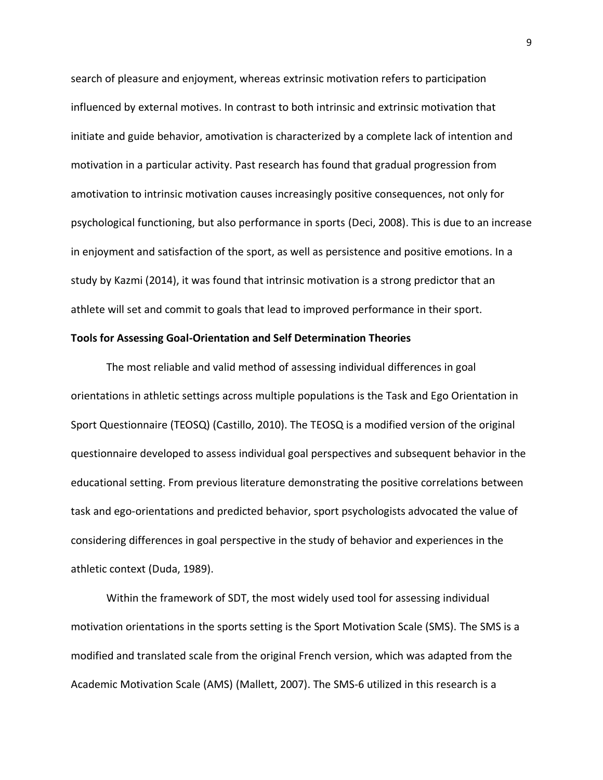search of pleasure and enjoyment, whereas extrinsic motivation refers to participation influenced by external motives. In contrast to both intrinsic and extrinsic motivation that initiate and guide behavior, amotivation is characterized by a complete lack of intention and motivation in a particular activity. Past research has found that gradual progression from amotivation to intrinsic motivation causes increasingly positive consequences, not only for psychological functioning, but also performance in sports (Deci, 2008). This is due to an increase in enjoyment and satisfaction of the sport, as well as persistence and positive emotions. In a study by Kazmi (2014), it was found that intrinsic motivation is a strong predictor that an athlete will set and commit to goals that lead to improved performance in their sport.

#### **Tools for Assessing Goal-Orientation and Self Determination Theories**

The most reliable and valid method of assessing individual differences in goal orientations in athletic settings across multiple populations is the Task and Ego Orientation in Sport Questionnaire (TEOSQ) (Castillo, 2010). The TEOSQ is a modified version of the original questionnaire developed to assess individual goal perspectives and subsequent behavior in the educational setting. From previous literature demonstrating the positive correlations between task and ego-orientations and predicted behavior, sport psychologists advocated the value of considering differences in goal perspective in the study of behavior and experiences in the athletic context (Duda, 1989).

Within the framework of SDT, the most widely used tool for assessing individual motivation orientations in the sports setting is the Sport Motivation Scale (SMS). The SMS is a modified and translated scale from the original French version, which was adapted from the Academic Motivation Scale (AMS) (Mallett, 2007). The SMS-6 utilized in this research is a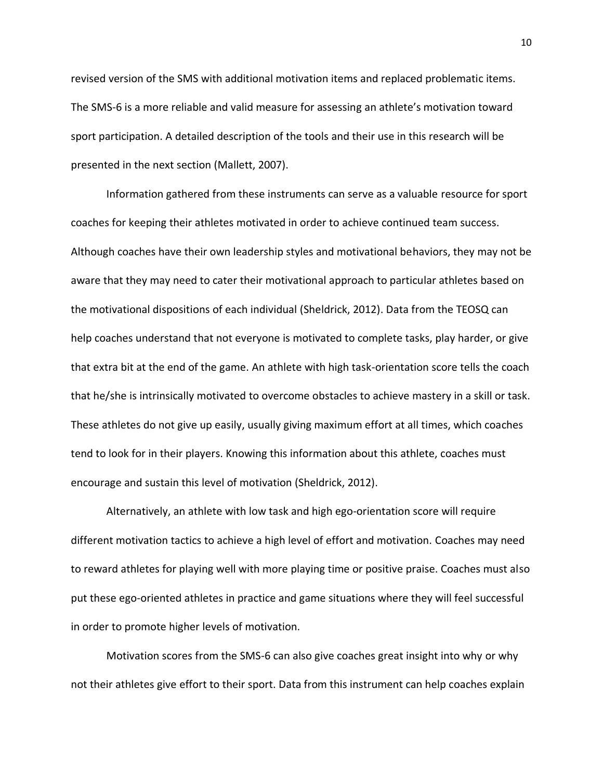revised version of the SMS with additional motivation items and replaced problematic items. The SMS-6 is a more reliable and valid measure for assessing an athlete's motivation toward sport participation. A detailed description of the tools and their use in this research will be presented in the next section (Mallett, 2007).

Information gathered from these instruments can serve as a valuable resource for sport coaches for keeping their athletes motivated in order to achieve continued team success. Although coaches have their own leadership styles and motivational behaviors, they may not be aware that they may need to cater their motivational approach to particular athletes based on the motivational dispositions of each individual (Sheldrick, 2012). Data from the TEOSQ can help coaches understand that not everyone is motivated to complete tasks, play harder, or give that extra bit at the end of the game. An athlete with high task-orientation score tells the coach that he/she is intrinsically motivated to overcome obstacles to achieve mastery in a skill or task. These athletes do not give up easily, usually giving maximum effort at all times, which coaches tend to look for in their players. Knowing this information about this athlete, coaches must encourage and sustain this level of motivation (Sheldrick, 2012).

Alternatively, an athlete with low task and high ego-orientation score will require different motivation tactics to achieve a high level of effort and motivation. Coaches may need to reward athletes for playing well with more playing time or positive praise. Coaches must also put these ego-oriented athletes in practice and game situations where they will feel successful in order to promote higher levels of motivation.

Motivation scores from the SMS-6 can also give coaches great insight into why or why not their athletes give effort to their sport. Data from this instrument can help coaches explain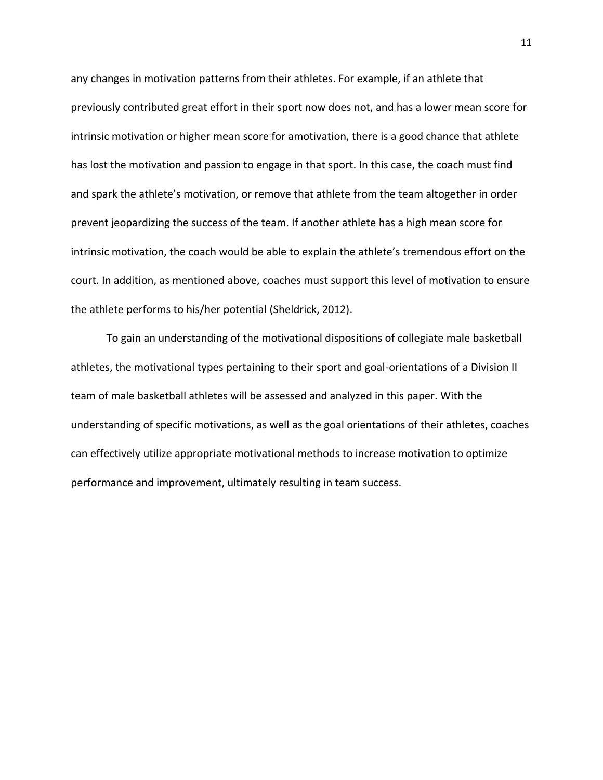any changes in motivation patterns from their athletes. For example, if an athlete that previously contributed great effort in their sport now does not, and has a lower mean score for intrinsic motivation or higher mean score for amotivation, there is a good chance that athlete has lost the motivation and passion to engage in that sport. In this case, the coach must find and spark the athlete's motivation, or remove that athlete from the team altogether in order prevent jeopardizing the success of the team. If another athlete has a high mean score for intrinsic motivation, the coach would be able to explain the athlete's tremendous effort on the court. In addition, as mentioned above, coaches must support this level of motivation to ensure the athlete performs to his/her potential (Sheldrick, 2012).

To gain an understanding of the motivational dispositions of collegiate male basketball athletes, the motivational types pertaining to their sport and goal-orientations of a Division II team of male basketball athletes will be assessed and analyzed in this paper. With the understanding of specific motivations, as well as the goal orientations of their athletes, coaches can effectively utilize appropriate motivational methods to increase motivation to optimize performance and improvement, ultimately resulting in team success.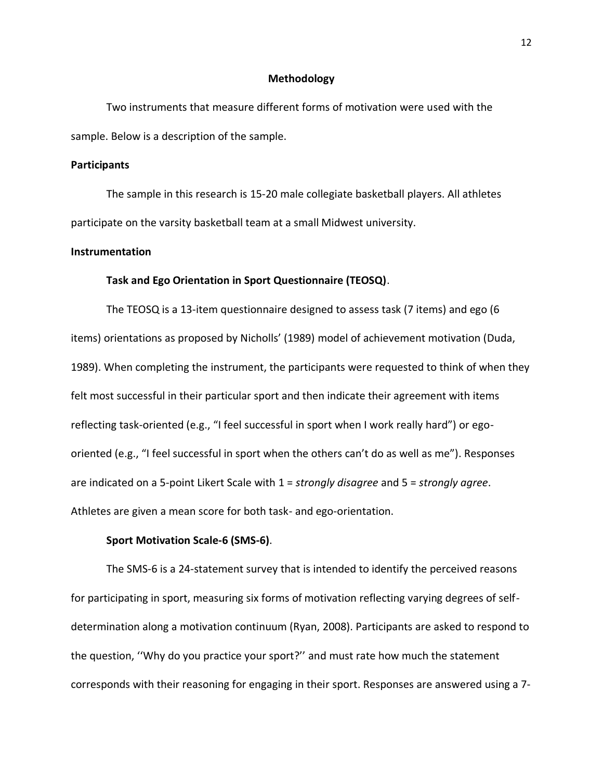#### **Methodology**

Two instruments that measure different forms of motivation were used with the sample. Below is a description of the sample.

#### **Participants**

The sample in this research is 15-20 male collegiate basketball players. All athletes participate on the varsity basketball team at a small Midwest university.

#### **Instrumentation**

#### **Task and Ego Orientation in Sport Questionnaire (TEOSQ)**.

The TEOSQ is a 13-item questionnaire designed to assess task (7 items) and ego (6 items) orientations as proposed by Nicholls' (1989) model of achievement motivation (Duda, 1989). When completing the instrument, the participants were requested to think of when they felt most successful in their particular sport and then indicate their agreement with items reflecting task-oriented (e.g., "I feel successful in sport when I work really hard") or egooriented (e.g., "I feel successful in sport when the others can't do as well as me"). Responses are indicated on a 5-point Likert Scale with 1 = *strongly disagree* and 5 = *strongly agree*. Athletes are given a mean score for both task- and ego-orientation.

#### **Sport Motivation Scale-6 (SMS-6)**.

The SMS-6 is a 24-statement survey that is intended to identify the perceived reasons for participating in sport, measuring six forms of motivation reflecting varying degrees of selfdetermination along a motivation continuum (Ryan, 2008). Participants are asked to respond to the question, ''Why do you practice your sport?'' and must rate how much the statement corresponds with their reasoning for engaging in their sport. Responses are answered using a 7-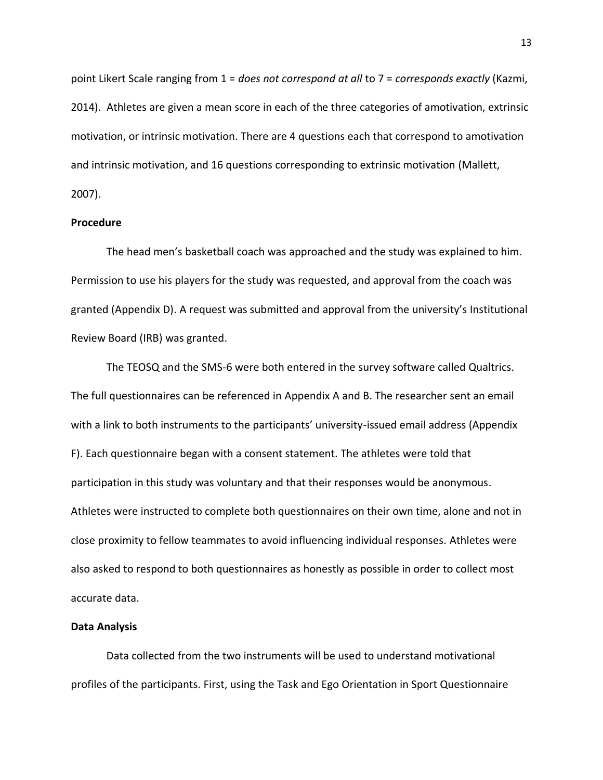point Likert Scale ranging from 1 = *does not correspond at all* to 7 = *corresponds exactly* (Kazmi, 2014). Athletes are given a mean score in each of the three categories of amotivation, extrinsic motivation, or intrinsic motivation. There are 4 questions each that correspond to amotivation and intrinsic motivation, and 16 questions corresponding to extrinsic motivation (Mallett, 2007).

#### **Procedure**

The head men's basketball coach was approached and the study was explained to him. Permission to use his players for the study was requested, and approval from the coach was granted (Appendix D). A request was submitted and approval from the university's Institutional Review Board (IRB) was granted.

The TEOSQ and the SMS-6 were both entered in the survey software called Qualtrics. The full questionnaires can be referenced in Appendix A and B. The researcher sent an email with a link to both instruments to the participants' university-issued email address (Appendix F). Each questionnaire began with a consent statement. The athletes were told that participation in this study was voluntary and that their responses would be anonymous. Athletes were instructed to complete both questionnaires on their own time, alone and not in close proximity to fellow teammates to avoid influencing individual responses. Athletes were also asked to respond to both questionnaires as honestly as possible in order to collect most accurate data.

#### **Data Analysis**

Data collected from the two instruments will be used to understand motivational profiles of the participants. First, using the Task and Ego Orientation in Sport Questionnaire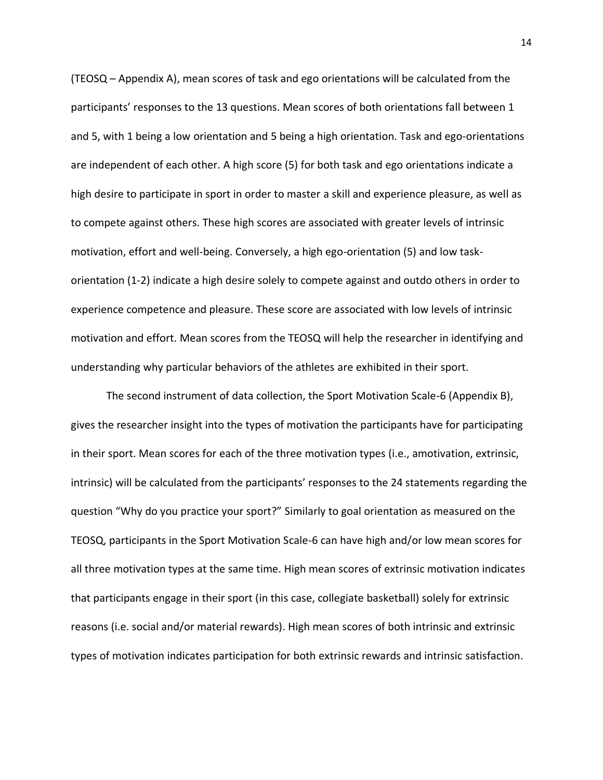(TEOSQ – Appendix A), mean scores of task and ego orientations will be calculated from the participants' responses to the 13 questions. Mean scores of both orientations fall between 1 and 5, with 1 being a low orientation and 5 being a high orientation. Task and ego-orientations are independent of each other. A high score (5) for both task and ego orientations indicate a high desire to participate in sport in order to master a skill and experience pleasure, as well as to compete against others. These high scores are associated with greater levels of intrinsic motivation, effort and well-being. Conversely, a high ego-orientation (5) and low taskorientation (1-2) indicate a high desire solely to compete against and outdo others in order to experience competence and pleasure. These score are associated with low levels of intrinsic motivation and effort. Mean scores from the TEOSQ will help the researcher in identifying and understanding why particular behaviors of the athletes are exhibited in their sport.

The second instrument of data collection, the Sport Motivation Scale-6 (Appendix B), gives the researcher insight into the types of motivation the participants have for participating in their sport. Mean scores for each of the three motivation types (i.e., amotivation, extrinsic, intrinsic) will be calculated from the participants' responses to the 24 statements regarding the question "Why do you practice your sport?" Similarly to goal orientation as measured on the TEOSQ, participants in the Sport Motivation Scale-6 can have high and/or low mean scores for all three motivation types at the same time. High mean scores of extrinsic motivation indicates that participants engage in their sport (in this case, collegiate basketball) solely for extrinsic reasons (i.e. social and/or material rewards). High mean scores of both intrinsic and extrinsic types of motivation indicates participation for both extrinsic rewards and intrinsic satisfaction.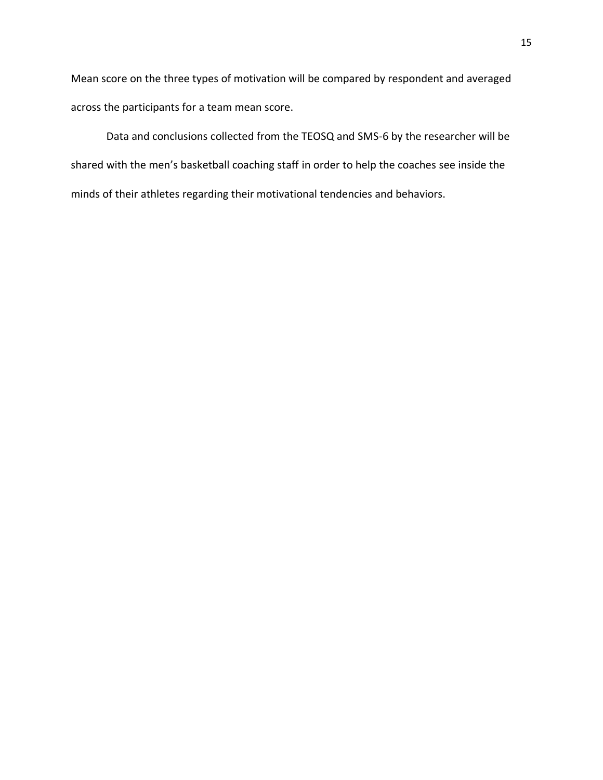Mean score on the three types of motivation will be compared by respondent and averaged across the participants for a team mean score.

Data and conclusions collected from the TEOSQ and SMS-6 by the researcher will be shared with the men's basketball coaching staff in order to help the coaches see inside the minds of their athletes regarding their motivational tendencies and behaviors.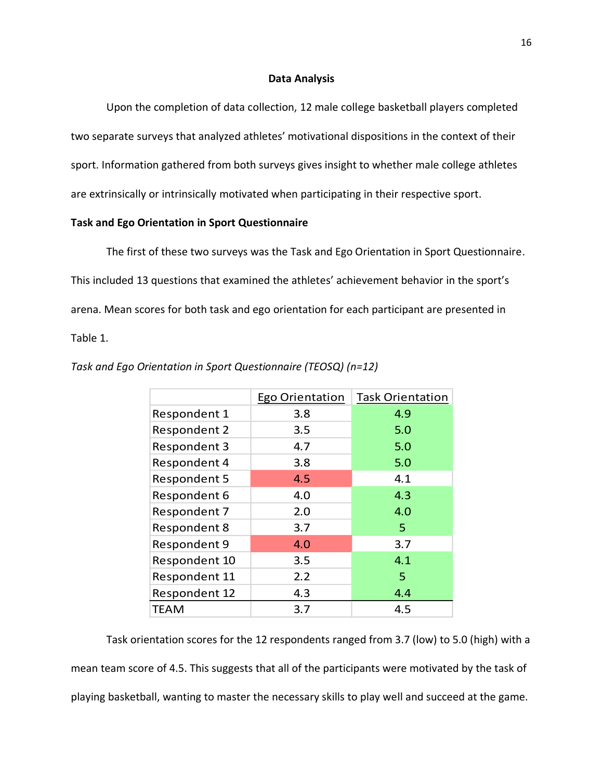#### **Data Analysis**

Upon the completion of data collection, 12 male college basketball players completed two separate surveys that analyzed athletes' motivational dispositions in the context of their sport. Information gathered from both surveys gives insight to whether male college athletes are extrinsically or intrinsically motivated when participating in their respective sport.

#### **Task and Ego Orientation in Sport Questionnaire**

The first of these two surveys was the Task and Ego Orientation in Sport Questionnaire. This included 13 questions that examined the athletes' achievement behavior in the sport's arena. Mean scores for both task and ego orientation for each participant are presented in Table 1.

|                     | Ego Orientation | <b>Task Orientation</b> |
|---------------------|-----------------|-------------------------|
| Respondent 1        | 3.8             | 4.9                     |
| <b>Respondent 2</b> | 3.5             | 5.0                     |
| <b>Respondent 3</b> | 4.7             | 5.0                     |
| Respondent 4        | 3.8             | 5.0                     |
| <b>Respondent 5</b> | 4.5             | 4.1                     |
| Respondent 6        | 4.0             | 4.3                     |
| Respondent 7        | 2.0             | 4.0                     |
| <b>Respondent 8</b> | 3.7             | 5                       |
| Respondent 9        | 4.0             | 3.7                     |
| Respondent 10       | 3.5             | 4.1                     |
| Respondent 11       | 2.2             | 5                       |
| Respondent 12       | 4.3             | 4.4                     |
| <b>TEAM</b>         | 3.7             | 4.5                     |

*Task and Ego Orientation in Sport Questionnaire (TEOSQ) (n=12)*

Task orientation scores for the 12 respondents ranged from 3.7 (low) to 5.0 (high) with a mean team score of 4.5. This suggests that all of the participants were motivated by the task of playing basketball, wanting to master the necessary skills to play well and succeed at the game.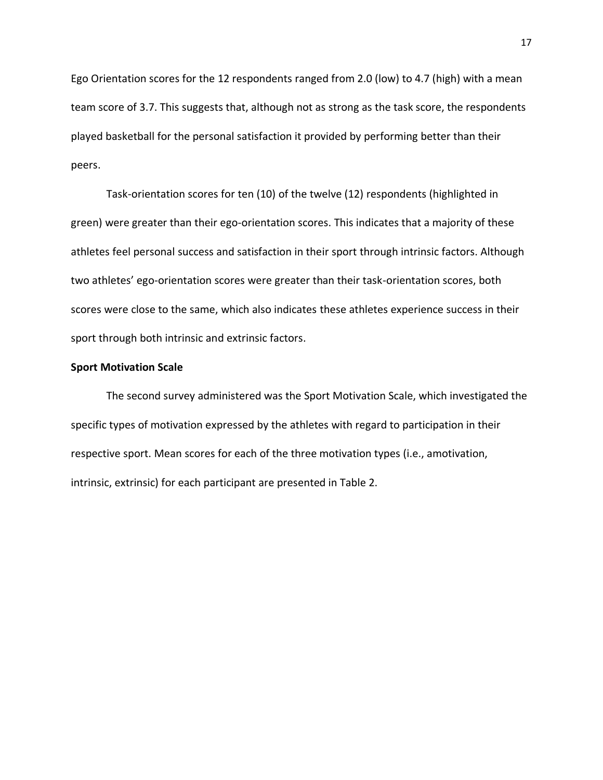Ego Orientation scores for the 12 respondents ranged from 2.0 (low) to 4.7 (high) with a mean team score of 3.7. This suggests that, although not as strong as the task score, the respondents played basketball for the personal satisfaction it provided by performing better than their peers.

Task-orientation scores for ten (10) of the twelve (12) respondents (highlighted in green) were greater than their ego-orientation scores. This indicates that a majority of these athletes feel personal success and satisfaction in their sport through intrinsic factors. Although two athletes' ego-orientation scores were greater than their task-orientation scores, both scores were close to the same, which also indicates these athletes experience success in their sport through both intrinsic and extrinsic factors.

#### **Sport Motivation Scale**

The second survey administered was the Sport Motivation Scale, which investigated the specific types of motivation expressed by the athletes with regard to participation in their respective sport. Mean scores for each of the three motivation types (i.e., amotivation, intrinsic, extrinsic) for each participant are presented in Table 2.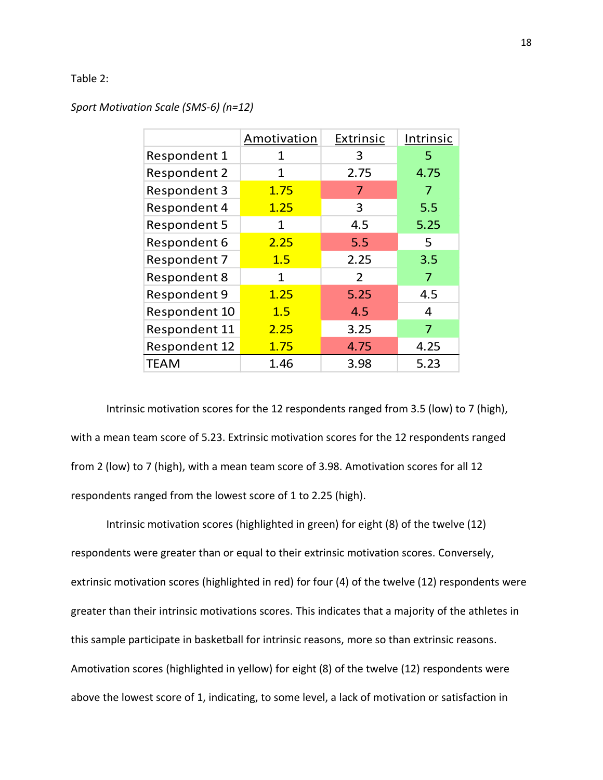#### Table 2:

| Sport Motivation Scale (SMS-6) (n=12) |  |  |
|---------------------------------------|--|--|
|---------------------------------------|--|--|

|                      | Amotivation | Extrinsic     | Intrinsic |
|----------------------|-------------|---------------|-----------|
| Respondent 1         | 1           | 3             | 5         |
| <b>Respondent 2</b>  | 1           | 2.75          | 4.75      |
| <b>Respondent 3</b>  | 1.75        | 7             | 7         |
| Respondent 4         | 1.25        | 3             | 5.5       |
| <b>Respondent 5</b>  | 1           | 4.5           | 5.25      |
| Respondent 6         | 2.25        | 5.5           | 5         |
| <b>Respondent 7</b>  | 1.5         | 2.25          | 3.5       |
| <b>Respondent 8</b>  | 1           | $\mathcal{P}$ | 7         |
| <b>Respondent 9</b>  | 1.25        | 5.25          | 4.5       |
| Respondent 10        | 1.5         | 4.5           | 4         |
| Respondent 11        | 2.25        | 3.25          | 7         |
| <b>Respondent 12</b> | 1.75        | 4.75          | 4.25      |
| TEAM                 | 1.46        | 3.98          | 5.23      |

Intrinsic motivation scores for the 12 respondents ranged from 3.5 (low) to 7 (high), with a mean team score of 5.23. Extrinsic motivation scores for the 12 respondents ranged from 2 (low) to 7 (high), with a mean team score of 3.98. Amotivation scores for all 12 respondents ranged from the lowest score of 1 to 2.25 (high).

Intrinsic motivation scores (highlighted in green) for eight (8) of the twelve (12) respondents were greater than or equal to their extrinsic motivation scores. Conversely, extrinsic motivation scores (highlighted in red) for four (4) of the twelve (12) respondents were greater than their intrinsic motivations scores. This indicates that a majority of the athletes in this sample participate in basketball for intrinsic reasons, more so than extrinsic reasons. Amotivation scores (highlighted in yellow) for eight (8) of the twelve (12) respondents were above the lowest score of 1, indicating, to some level, a lack of motivation or satisfaction in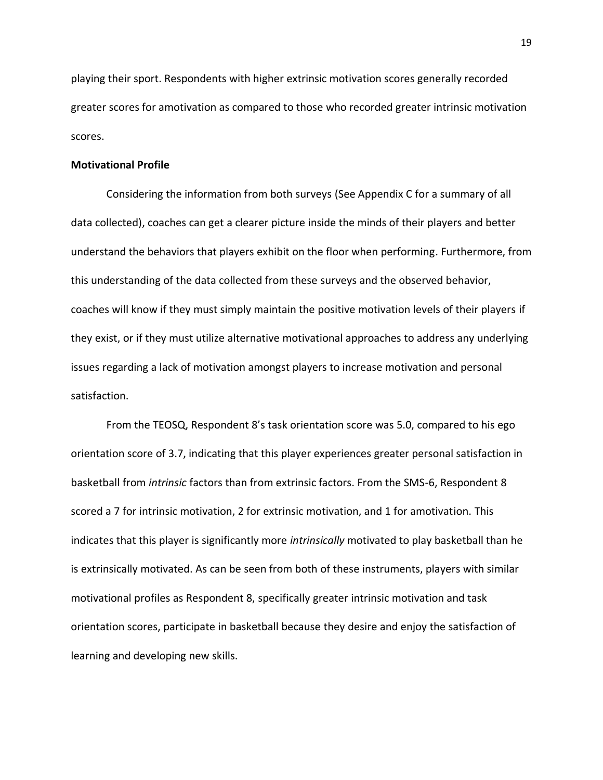playing their sport. Respondents with higher extrinsic motivation scores generally recorded greater scores for amotivation as compared to those who recorded greater intrinsic motivation scores.

#### **Motivational Profile**

Considering the information from both surveys (See Appendix C for a summary of all data collected), coaches can get a clearer picture inside the minds of their players and better understand the behaviors that players exhibit on the floor when performing. Furthermore, from this understanding of the data collected from these surveys and the observed behavior, coaches will know if they must simply maintain the positive motivation levels of their players if they exist, or if they must utilize alternative motivational approaches to address any underlying issues regarding a lack of motivation amongst players to increase motivation and personal satisfaction.

From the TEOSQ, Respondent 8's task orientation score was 5.0, compared to his ego orientation score of 3.7, indicating that this player experiences greater personal satisfaction in basketball from *intrinsic* factors than from extrinsic factors. From the SMS-6, Respondent 8 scored a 7 for intrinsic motivation, 2 for extrinsic motivation, and 1 for amotivation. This indicates that this player is significantly more *intrinsically* motivated to play basketball than he is extrinsically motivated. As can be seen from both of these instruments, players with similar motivational profiles as Respondent 8, specifically greater intrinsic motivation and task orientation scores, participate in basketball because they desire and enjoy the satisfaction of learning and developing new skills.

19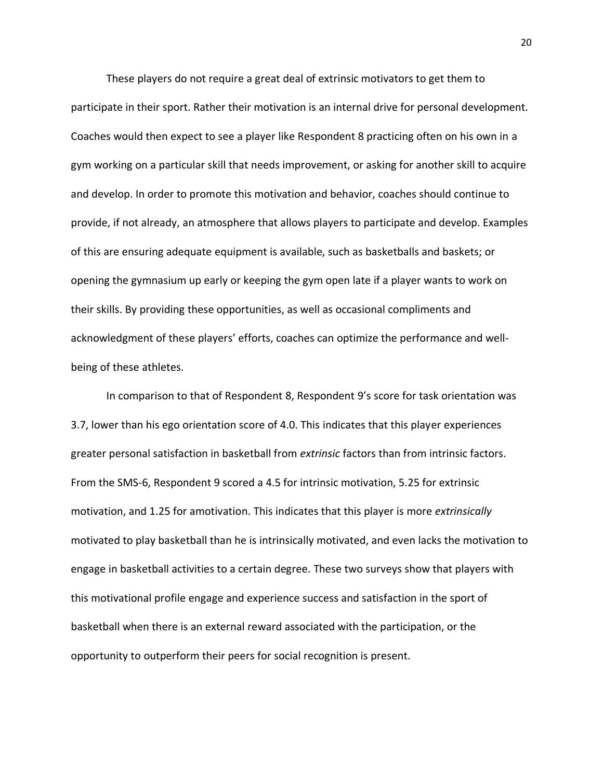These players do not require a great deal of extrinsic motivators to get them to participate in their sport. Rather their motivation is an internal drive for personal development. Coaches would then expect to see a player like Respondent 8 practicing often on his own in a gym working on a particular skill that needs improvement, or asking for another skill to acquire and develop. In order to promote this motivation and behavior, coaches should continue to provide, if not already, an atmosphere that allows players to participate and develop. Examples of this are ensuring adequate equipment is available, such as basketballs and baskets; or opening the gymnasium up early or keeping the gym open late if a player wants to work on their skills. By providing these opportunities, as well as occasional compliments and acknowledgment of these players' efforts, coaches can optimize the performance and wellbeing of these athletes.

In comparison to that of Respondent 8, Respondent 9's score for task orientation was 3.7, lower than his ego orientation score of 4.0. This indicates that this player experiences greater personal satisfaction in basketball from *extrinsic* factors than from intrinsic factors. From the SMS-6, Respondent 9 scored a 4.5 for intrinsic motivation, 5.25 for extrinsic motivation, and 1.25 for amotivation. This indicates that this player is more *extrinsically* motivated to play basketball than he is intrinsically motivated, and even lacks the motivation to engage in basketball activities to a certain degree. These two surveys show that players with this motivational profile engage and experience success and satisfaction in the sport of basketball when there is an external reward associated with the participation, or the opportunity to outperform their peers for social recognition is present.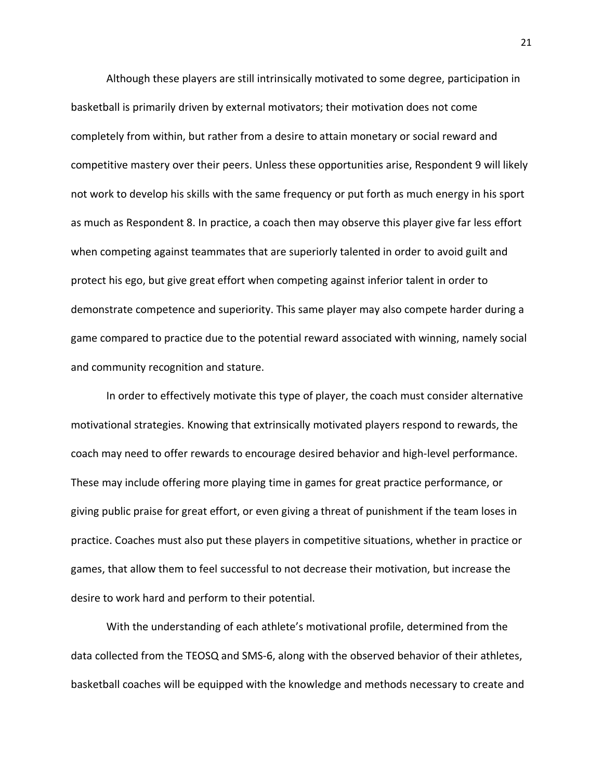Although these players are still intrinsically motivated to some degree, participation in basketball is primarily driven by external motivators; their motivation does not come completely from within, but rather from a desire to attain monetary or social reward and competitive mastery over their peers. Unless these opportunities arise, Respondent 9 will likely not work to develop his skills with the same frequency or put forth as much energy in his sport as much as Respondent 8. In practice, a coach then may observe this player give far less effort when competing against teammates that are superiorly talented in order to avoid guilt and protect his ego, but give great effort when competing against inferior talent in order to demonstrate competence and superiority. This same player may also compete harder during a game compared to practice due to the potential reward associated with winning, namely social and community recognition and stature.

In order to effectively motivate this type of player, the coach must consider alternative motivational strategies. Knowing that extrinsically motivated players respond to rewards, the coach may need to offer rewards to encourage desired behavior and high-level performance. These may include offering more playing time in games for great practice performance, or giving public praise for great effort, or even giving a threat of punishment if the team loses in practice. Coaches must also put these players in competitive situations, whether in practice or games, that allow them to feel successful to not decrease their motivation, but increase the desire to work hard and perform to their potential.

With the understanding of each athlete's motivational profile, determined from the data collected from the TEOSQ and SMS-6, along with the observed behavior of their athletes, basketball coaches will be equipped with the knowledge and methods necessary to create and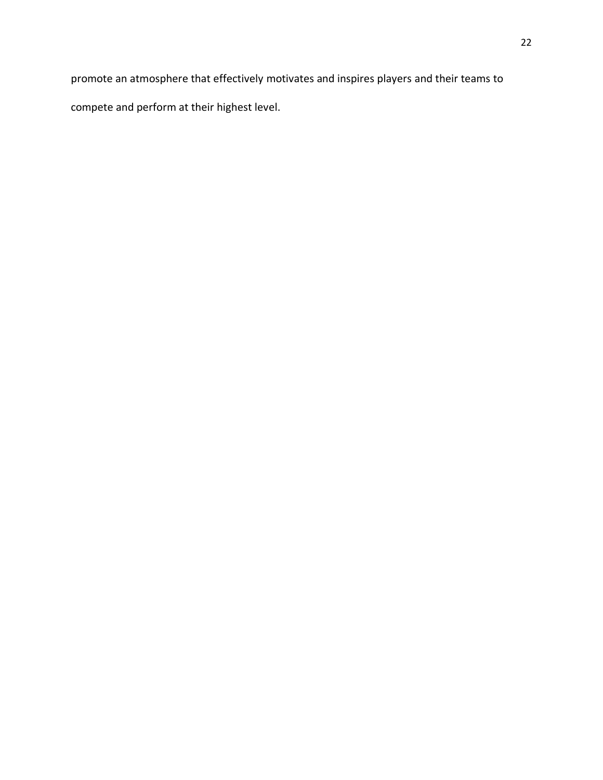promote an atmosphere that effectively motivates and inspires players and their teams to compete and perform at their highest level.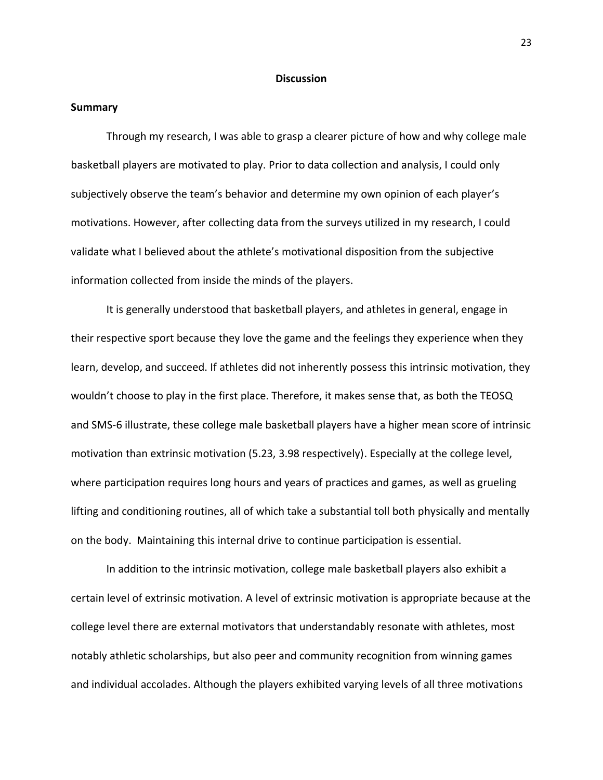#### **Discussion**

#### **Summary**

Through my research, I was able to grasp a clearer picture of how and why college male basketball players are motivated to play. Prior to data collection and analysis, I could only subjectively observe the team's behavior and determine my own opinion of each player's motivations. However, after collecting data from the surveys utilized in my research, I could validate what I believed about the athlete's motivational disposition from the subjective information collected from inside the minds of the players.

It is generally understood that basketball players, and athletes in general, engage in their respective sport because they love the game and the feelings they experience when they learn, develop, and succeed. If athletes did not inherently possess this intrinsic motivation, they wouldn't choose to play in the first place. Therefore, it makes sense that, as both the TEOSQ and SMS-6 illustrate, these college male basketball players have a higher mean score of intrinsic motivation than extrinsic motivation (5.23, 3.98 respectively). Especially at the college level, where participation requires long hours and years of practices and games, as well as grueling lifting and conditioning routines, all of which take a substantial toll both physically and mentally on the body. Maintaining this internal drive to continue participation is essential.

In addition to the intrinsic motivation, college male basketball players also exhibit a certain level of extrinsic motivation. A level of extrinsic motivation is appropriate because at the college level there are external motivators that understandably resonate with athletes, most notably athletic scholarships, but also peer and community recognition from winning games and individual accolades. Although the players exhibited varying levels of all three motivations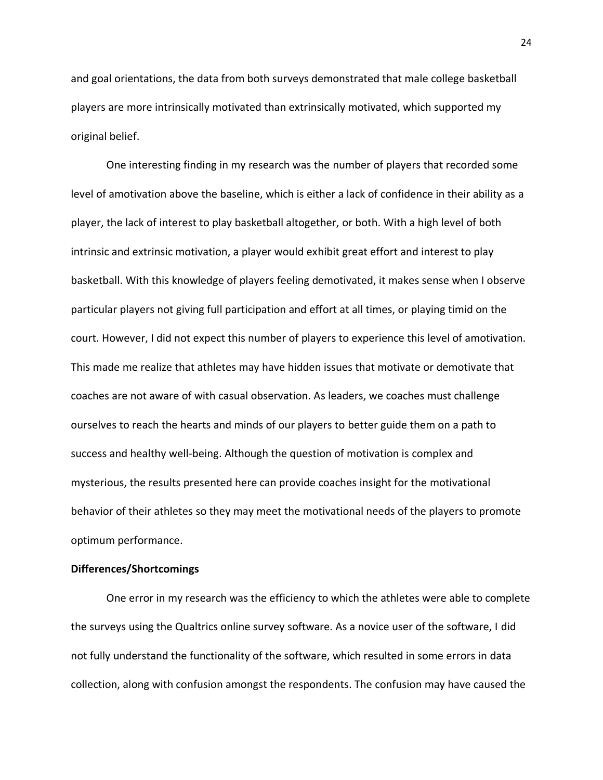and goal orientations, the data from both surveys demonstrated that male college basketball players are more intrinsically motivated than extrinsically motivated, which supported my original belief.

One interesting finding in my research was the number of players that recorded some level of amotivation above the baseline, which is either a lack of confidence in their ability as a player, the lack of interest to play basketball altogether, or both. With a high level of both intrinsic and extrinsic motivation, a player would exhibit great effort and interest to play basketball. With this knowledge of players feeling demotivated, it makes sense when I observe particular players not giving full participation and effort at all times, or playing timid on the court. However, I did not expect this number of players to experience this level of amotivation. This made me realize that athletes may have hidden issues that motivate or demotivate that coaches are not aware of with casual observation. As leaders, we coaches must challenge ourselves to reach the hearts and minds of our players to better guide them on a path to success and healthy well-being. Although the question of motivation is complex and mysterious, the results presented here can provide coaches insight for the motivational behavior of their athletes so they may meet the motivational needs of the players to promote optimum performance.

#### **Differences/Shortcomings**

One error in my research was the efficiency to which the athletes were able to complete the surveys using the Qualtrics online survey software. As a novice user of the software, I did not fully understand the functionality of the software, which resulted in some errors in data collection, along with confusion amongst the respondents. The confusion may have caused the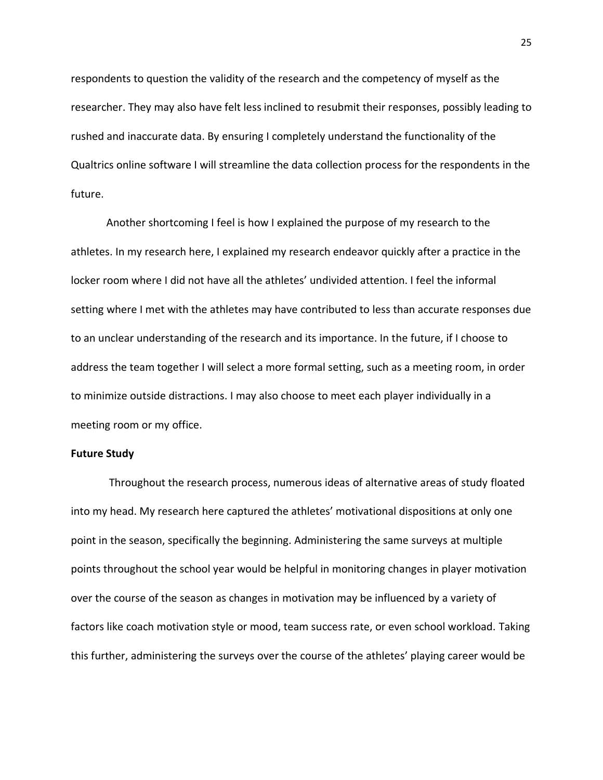respondents to question the validity of the research and the competency of myself as the researcher. They may also have felt less inclined to resubmit their responses, possibly leading to rushed and inaccurate data. By ensuring I completely understand the functionality of the Qualtrics online software I will streamline the data collection process for the respondents in the future.

Another shortcoming I feel is how I explained the purpose of my research to the athletes. In my research here, I explained my research endeavor quickly after a practice in the locker room where I did not have all the athletes' undivided attention. I feel the informal setting where I met with the athletes may have contributed to less than accurate responses due to an unclear understanding of the research and its importance. In the future, if I choose to address the team together I will select a more formal setting, such as a meeting room, in order to minimize outside distractions. I may also choose to meet each player individually in a meeting room or my office.

#### **Future Study**

Throughout the research process, numerous ideas of alternative areas of study floated into my head. My research here captured the athletes' motivational dispositions at only one point in the season, specifically the beginning. Administering the same surveys at multiple points throughout the school year would be helpful in monitoring changes in player motivation over the course of the season as changes in motivation may be influenced by a variety of factors like coach motivation style or mood, team success rate, or even school workload. Taking this further, administering the surveys over the course of the athletes' playing career would be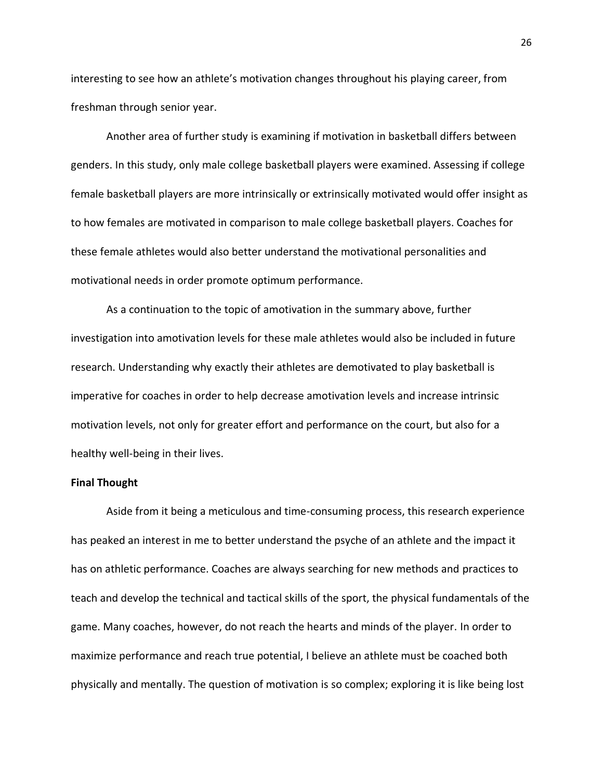interesting to see how an athlete's motivation changes throughout his playing career, from freshman through senior year.

Another area of further study is examining if motivation in basketball differs between genders. In this study, only male college basketball players were examined. Assessing if college female basketball players are more intrinsically or extrinsically motivated would offer insight as to how females are motivated in comparison to male college basketball players. Coaches for these female athletes would also better understand the motivational personalities and motivational needs in order promote optimum performance.

As a continuation to the topic of amotivation in the summary above, further investigation into amotivation levels for these male athletes would also be included in future research. Understanding why exactly their athletes are demotivated to play basketball is imperative for coaches in order to help decrease amotivation levels and increase intrinsic motivation levels, not only for greater effort and performance on the court, but also for a healthy well-being in their lives.

#### **Final Thought**

Aside from it being a meticulous and time-consuming process, this research experience has peaked an interest in me to better understand the psyche of an athlete and the impact it has on athletic performance. Coaches are always searching for new methods and practices to teach and develop the technical and tactical skills of the sport, the physical fundamentals of the game. Many coaches, however, do not reach the hearts and minds of the player. In order to maximize performance and reach true potential, I believe an athlete must be coached both physically and mentally. The question of motivation is so complex; exploring it is like being lost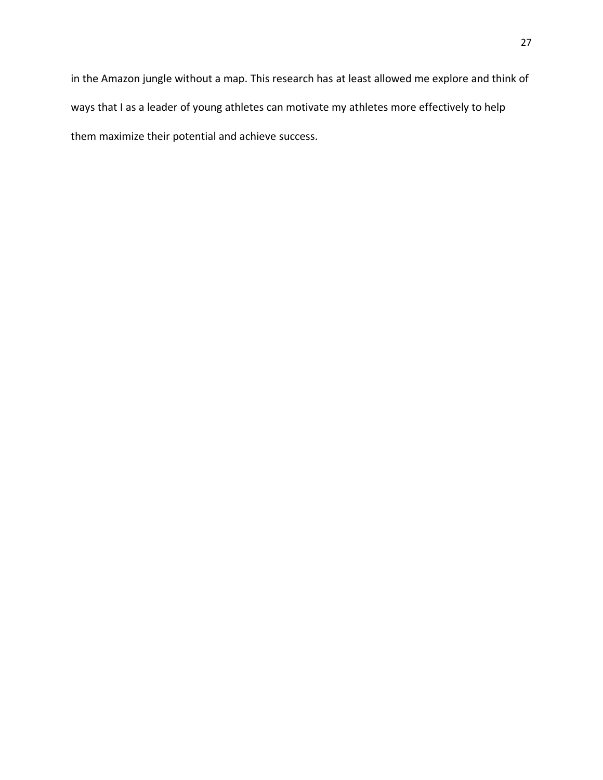in the Amazon jungle without a map. This research has at least allowed me explore and think of ways that I as a leader of young athletes can motivate my athletes more effectively to help them maximize their potential and achieve success.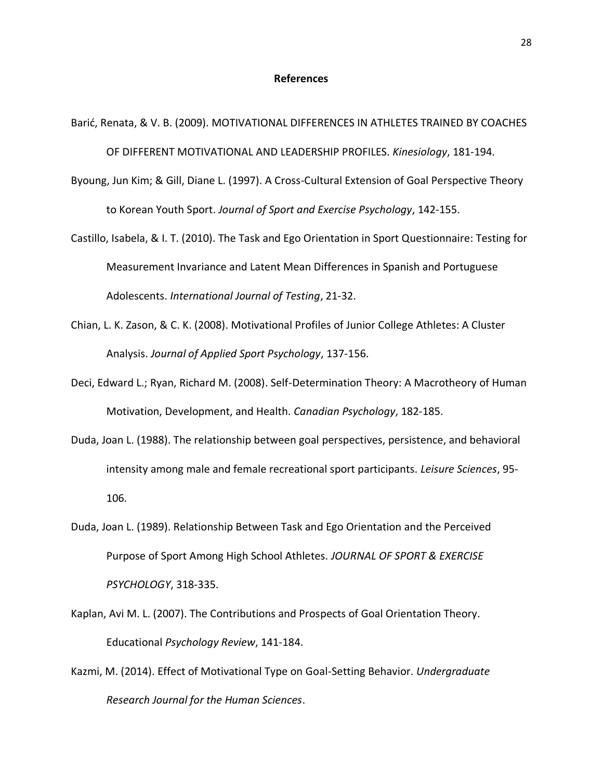#### **References**

Barić, Renata, & V. B. (2009). MOTIVATIONAL DIFFERENCES IN ATHLETES TRAINED BY COACHES OF DIFFERENT MOTIVATIONAL AND LEADERSHIP PROFILES. *Kinesiology*, 181-194.

- Byoung, Jun Kim; & Gill, Diane L. (1997). A Cross-Cultural Extension of Goal Perspective Theory to Korean Youth Sport. *Journal of Sport and Exercise Psychology*, 142-155.
- Castillo, Isabela, & I. T. (2010). The Task and Ego Orientation in Sport Questionnaire: Testing for Measurement Invariance and Latent Mean Differences in Spanish and Portuguese Adolescents. *International Journal of Testing*, 21-32.
- Chian, L. K. Zason, & C. K. (2008). Motivational Profiles of Junior College Athletes: A Cluster Analysis. *Journal of Applied Sport Psychology*, 137-156.
- Deci, Edward L.; Ryan, Richard M. (2008). Self-Determination Theory: A Macrotheory of Human Motivation, Development, and Health. *Canadian Psychology*, 182-185.
- Duda, Joan L. (1988). The relationship between goal perspectives, persistence, and behavioral intensity among male and female recreational sport participants. *Leisure Sciences*, 95- 106.
- Duda, Joan L. (1989). Relationship Between Task and Ego Orientation and the Perceived Purpose of Sport Among High School Athletes. *JOURNAL OF SPORT & EXERCISE PSYCHOLOGY*, 318-335.
- Kaplan, Avi M. L. (2007). The Contributions and Prospects of Goal Orientation Theory. Educational *Psychology Review*, 141-184.
- Kazmi, M. (2014). Effect of Motivational Type on Goal-Setting Behavior. *Undergraduate Research Journal for the Human Sciences*.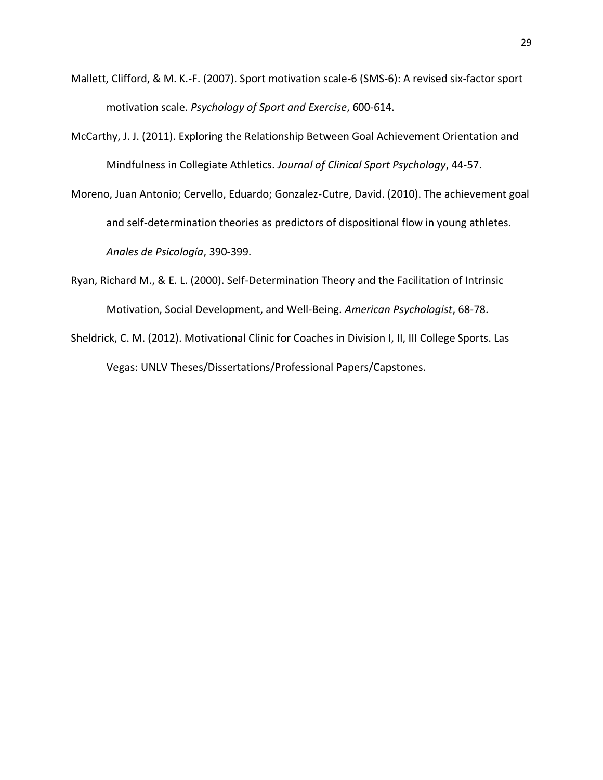- Mallett, Clifford, & M. K.-F. (2007). Sport motivation scale-6 (SMS-6): A revised six-factor sport motivation scale. *Psychology of Sport and Exercise*, 600-614.
- McCarthy, J. J. (2011). Exploring the Relationship Between Goal Achievement Orientation and Mindfulness in Collegiate Athletics. *Journal of Clinical Sport Psychology*, 44-57.
- Moreno, Juan Antonio; Cervello, Eduardo; Gonzalez-Cutre, David. (2010). The achievement goal and self-determination theories as predictors of dispositional flow in young athletes. *Anales de Psicología*, 390-399.
- Ryan, Richard M., & E. L. (2000). Self-Determination Theory and the Facilitation of Intrinsic Motivation, Social Development, and Well-Being. *American Psychologist*, 68-78.
- Sheldrick, C. M. (2012). Motivational Clinic for Coaches in Division I, II, III College Sports. Las Vegas: UNLV Theses/Dissertations/Professional Papers/Capstones.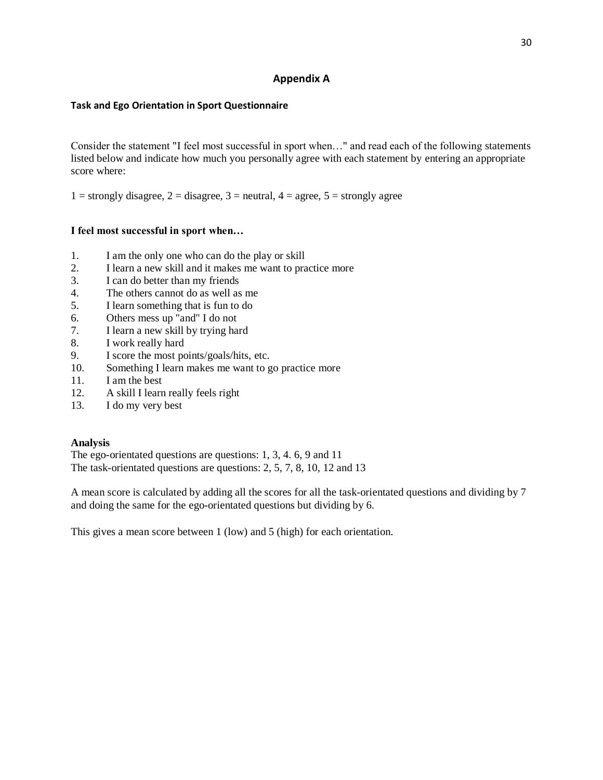### **Appendix A**

#### **Task and Ego Orientation in Sport Questionnaire**

Consider the statement "I feel most successful in sport when…" and read each of the following statements listed below and indicate how much you personally agree with each statement by entering an appropriate score where:

1 = strongly disagree, 2 = disagree, 3 = neutral, 4 = agree, 5 = strongly agree

#### **I feel most successful in sport when…**

- 1. I am the only one who can do the play or skill
- 2. I learn a new skill and it makes me want to practice more
- 3. I can do better than my friends
- 4. The others cannot do as well as me
- 5. I learn something that is fun to do
- 6. Others mess up "and" I do not
- 7. I learn a new skill by trying hard
- 8. I work really hard
- 9. I score the most points/goals/hits, etc.
- 10. Something I learn makes me want to go practice more
- 11. I am the best
- 12. A skill I learn really feels right
- 13. I do my very best

#### **Analysis**

The ego-orientated questions are questions: 1, 3, 4. 6, 9 and 11 The task-orientated questions are questions: 2, 5, 7, 8, 10, 12 and 13

A mean score is calculated by adding all the scores for all the task-orientated questions and dividing by 7 and doing the same for the ego-orientated questions but dividing by 6.

This gives a mean score between 1 (low) and 5 (high) for each orientation.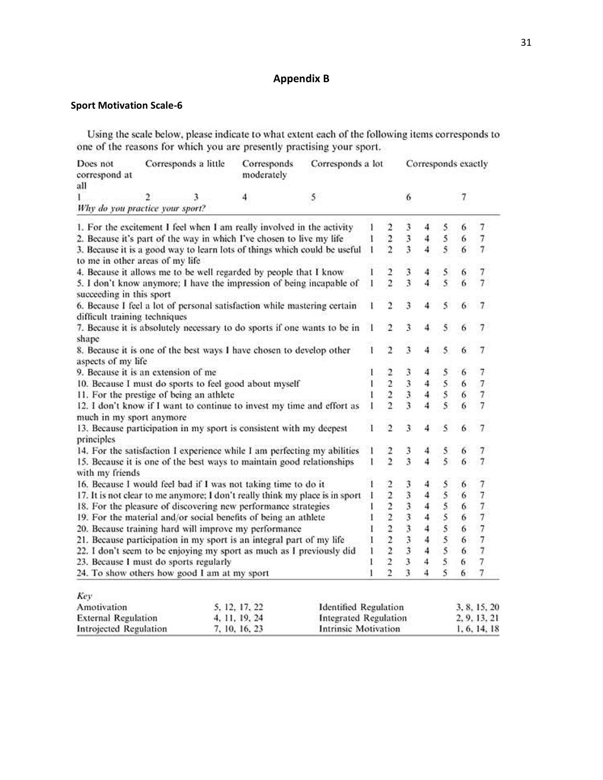### **Appendix B**

### **Sport Motivation Scale-6**

Using the scale below, please indicate to what extent each of the following items corresponds to one of the reasons for which you are presently practising your sport.

| Does not<br>correspond at<br>all                                                                   | Corresponds a little |   | Corresponds<br>moderately                                                    | Corresponds a lot            |                |                          |                         |              | Corresponds exactly     |        |                |
|----------------------------------------------------------------------------------------------------|----------------------|---|------------------------------------------------------------------------------|------------------------------|----------------|--------------------------|-------------------------|--------------|-------------------------|--------|----------------|
| L                                                                                                  | 2                    | 3 | 4                                                                            | 5                            |                |                          | 6                       |              |                         | 7      |                |
| Why do you practice your sport?                                                                    |                      |   |                                                                              |                              |                |                          |                         |              |                         |        |                |
|                                                                                                    |                      |   | 1. For the excitement I feel when I am really involved in the activity       |                              |                | $\overline{c}$           | 3                       | 4            | 5                       | 6      | 7              |
|                                                                                                    |                      |   | 2. Because it's part of the way in which I've chosen to live my life         |                              |                | $\frac{2}{2}$            | 3                       | 4            | 5                       | 6      | $\overline{7}$ |
| to me in other areas of my life                                                                    |                      |   | 3. Because it is a good way to learn lots of things which could be useful    |                              |                |                          | 3                       | 4            | $\overline{\mathbf{S}}$ | 6      | $\overline{7}$ |
|                                                                                                    |                      |   | 4. Because it allows me to be well regarded by people that I know            |                              |                |                          |                         | 4            |                         | 6      |                |
| succeeding in this sport                                                                           |                      |   | 5. I don't know anymore; I have the impression of being incapable of         |                              |                | $\frac{2}{2}$            | $\frac{3}{3}$           |              | $\frac{5}{5}$           |        |                |
| difficult training techniques                                                                      |                      |   | 6. Because I feel a lot of personal satisfaction while mastering certain     |                              |                | $\overline{2}$           | $\overline{\mathbf{3}}$ | 4            | 5                       | 6      | 7              |
| shape                                                                                              |                      |   | 7. Because it is absolutely necessary to do sports if one wants to be in     |                              |                | 2                        | 3                       | 4            | 5                       |        |                |
| aspects of my life                                                                                 |                      |   | 8. Because it is one of the best ways I have chosen to develop other         |                              |                | $\overline{2}$           | 3                       | 4            | 5                       | 6      | 7              |
| 9. Because it is an extension of me                                                                |                      |   |                                                                              |                              |                | $\overline{\mathbf{2}}$  |                         | 4            | 5                       | 6      | 7              |
|                                                                                                    |                      |   | 10. Because I must do sports to feel good about myself                       |                              | ı              | $\frac{2}{2}$            | ڏڻ وي وي                | 4            | 5                       | 6      | 7              |
| 11. For the prestige of being an athlete                                                           |                      |   |                                                                              |                              |                |                          |                         | 4            | 5                       | 6      | $\overline{7}$ |
| 12. I don't know if I want to continue to invest my time and effort as<br>much in my sport anymore |                      |   |                                                                              |                              |                | $\overline{2}$           | $\overline{\mathbf{3}}$ | 4            | $\overline{\mathbf{S}}$ | 6      |                |
| principles                                                                                         |                      |   | 13. Because participation in my sport is consistent with my deepest          |                              |                | $\overline{c}$           | 3                       | 4            | 5                       | 6      | 7              |
|                                                                                                    |                      |   | 14. For the satisfaction I experience while I am perfecting my abilities     |                              |                | $\overline{\phantom{a}}$ | 3                       | 4            | 5                       | 6      | 7              |
| 15. Because it is one of the best ways to maintain good relationships<br>with my friends           |                      |   |                                                                              |                              |                | $\overline{2}$           | $\overline{\mathbf{3}}$ | 4            | $\overline{5}$          | 6      | $\overline{7}$ |
|                                                                                                    |                      |   | 16. Because I would feel bad if I was not taking time to do it               |                              |                | $\overline{c}$           | 3                       | 4            | 5                       | 6      | 7              |
|                                                                                                    |                      |   | 17. It is not clear to me anymore; I don't really think my place is in sport |                              |                | $2222$<br>$222$          |                         | 4            | $\overline{\mathbf{S}}$ | 6      | $\overline{7}$ |
|                                                                                                    |                      |   | 18. For the pleasure of discovering new performance strategies               |                              |                |                          | 333333                  | 4            | 5                       | 6      | $\overline{7}$ |
|                                                                                                    |                      |   | 19. For the material and/or social benefits of being an athlete              |                              |                |                          |                         | 4            | 5                       | 6      | $\overline{7}$ |
|                                                                                                    |                      |   | 20. Because training hard will improve my performance                        |                              |                |                          |                         | 4            | 5                       | 6      |                |
| 21. Because participation in my sport is an integral part of my life                               |                      |   |                                                                              |                              |                |                          |                         |              | 5                       | 6      | $\overline{7}$ |
| 22. I don't seem to be enjoying my sport as much as I previously did                               |                      |   |                                                                              |                              |                |                          |                         | 4            | $\overline{\mathbf{5}}$ | 6      | $\overline{7}$ |
| 23. Because I must do sports regularly                                                             |                      |   |                                                                              |                              |                | $\overline{2}$           | 3                       | 4            | 5                       | 6      | $\overline{7}$ |
| 24. To show others how good I am at my sport                                                       |                      |   |                                                                              |                              | $\overline{2}$ | ٦                        | 4                       | S.           | 6                       | $\tau$ |                |
| Kev                                                                                                |                      |   |                                                                              |                              |                |                          |                         |              |                         |        |                |
| Amotivation                                                                                        |                      |   | 5, 12, 17, 22                                                                | <b>Identified Regulation</b> |                |                          |                         |              |                         |        | 3, 8, 15, 20   |
| <b>External Regulation</b>                                                                         |                      |   | <b>Integrated Regulation</b><br>4, 11, 19, 24                                |                              |                |                          | 2, 9, 13, 21            |              |                         |        |                |
| Introjected Regulation                                                                             |                      |   | 7, 10, 16, 23                                                                | <b>Intrinsic Motivation</b>  |                |                          |                         | 1, 6, 14, 18 |                         |        |                |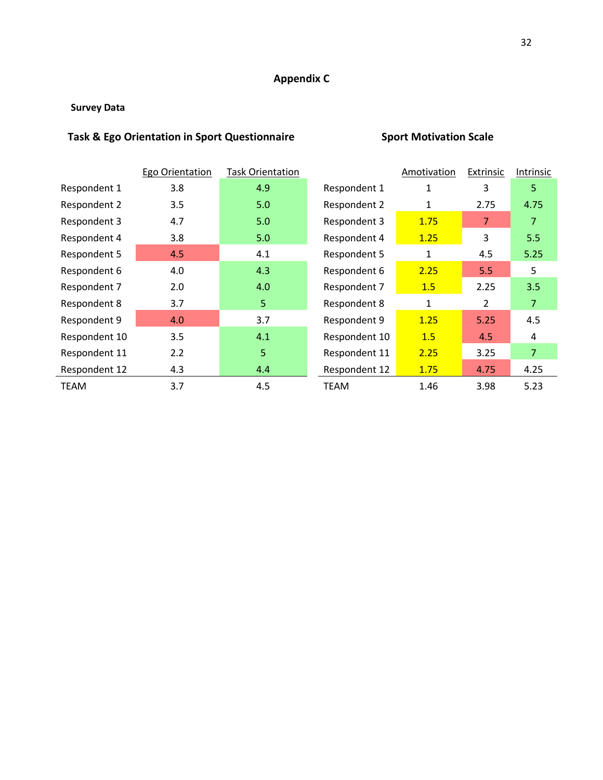## **Appendix C**

### **Survey Data**

### **Task & Ego Orientation in Sport Questionnaire Sport Motivation Scale**

|               | Ego Orientation | <b>Task Orientation</b> |               | Amotivation | Extrinsic      | Intrinsic      |
|---------------|-----------------|-------------------------|---------------|-------------|----------------|----------------|
| Respondent 1  | 3.8             | 4.9                     | Respondent 1  | 1           | 3              | 5.             |
| Respondent 2  | 3.5             | 5.0                     | Respondent 2  | 1           | 2.75           | 4.75           |
| Respondent 3  | 4.7             | 5.0                     | Respondent 3  | 1.75        | 7              | 7              |
| Respondent 4  | 3.8             | 5.0                     | Respondent 4  | 1.25        | 3              | 5.5            |
| Respondent 5  | 4.5             | 4.1                     | Respondent 5  | 1           | 4.5            | 5.25           |
| Respondent 6  | 4.0             | 4.3                     | Respondent 6  | 2.25        | 5.5            | 5.             |
| Respondent 7  | 2.0             | 4.0                     | Respondent 7  | 1.5         | 2.25           | 3.5            |
| Respondent 8  | 3.7             | 5                       | Respondent 8  | 1           | $\overline{2}$ | $\overline{7}$ |
| Respondent 9  | 4.0             | 3.7                     | Respondent 9  | 1.25        | 5.25           | 4.5            |
| Respondent 10 | 3.5             | 4.1                     | Respondent 10 | 1.5         | 4.5            | 4              |
| Respondent 11 | 2.2             | 5                       | Respondent 11 | 2.25        | 3.25           | $\overline{7}$ |
| Respondent 12 | 4.3             | 4.4                     | Respondent 12 | 1.75        | 4.75           | 4.25           |
| <b>TEAM</b>   | 3.7             | 4.5                     | <b>TEAM</b>   | 1.46        | 3.98           | 5.23           |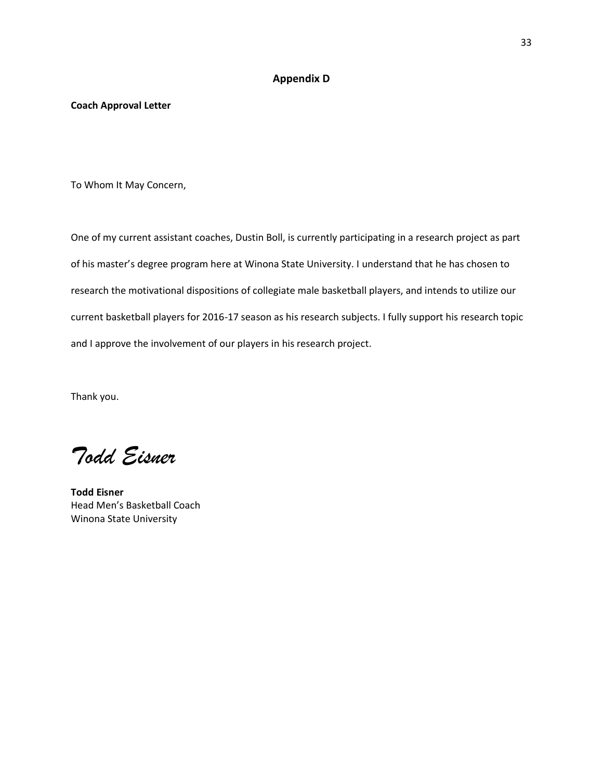#### **Appendix D**

#### **Coach Approval Letter**

To Whom It May Concern,

One of my current assistant coaches, Dustin Boll, is currently participating in a research project as part of his master's degree program here at Winona State University. I understand that he has chosen to research the motivational dispositions of collegiate male basketball players, and intends to utilize our current basketball players for 2016-17 season as his research subjects. I fully support his research topic and I approve the involvement of our players in his research project.

Thank you.

*Todd Eisner*

**Todd Eisner** Head Men's Basketball Coach Winona State University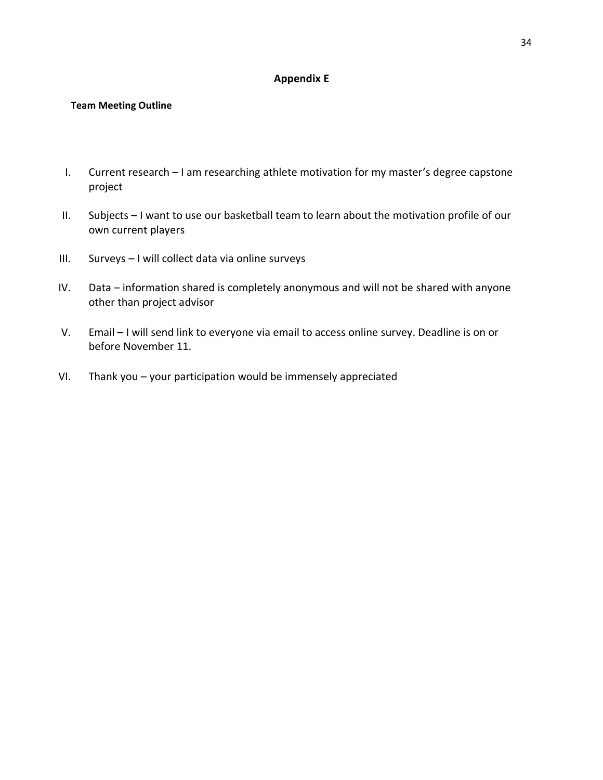#### **Appendix E**

#### **Team Meeting Outline**

- I. Current research I am researching athlete motivation for my master's degree capstone project
- II. Subjects I want to use our basketball team to learn about the motivation profile of our own current players
- III. Surveys I will collect data via online surveys
- IV. Data information shared is completely anonymous and will not be shared with anyone other than project advisor
- V. Email I will send link to everyone via email to access online survey. Deadline is on or before November 11.
- VI. Thank you your participation would be immensely appreciated